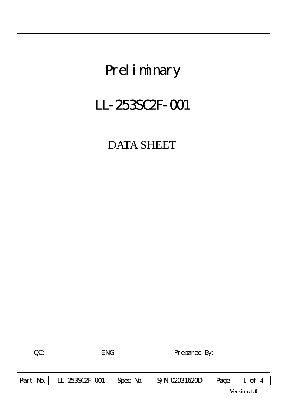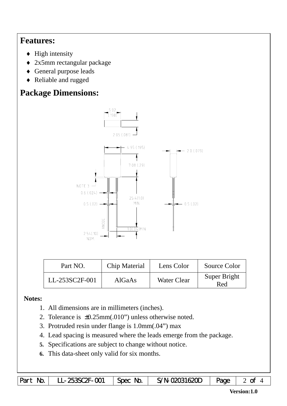## **Features:**

- $\blacklozenge$  High intensity
- ♦ 2x5mm rectangular package
- ♦ General purpose leads
- ♦ Reliable and rugged

# **Package Dimensions:**



| Chip Material<br>Part NO. |        | Lens Color         | Source Color        |  |
|---------------------------|--------|--------------------|---------------------|--|
| LL-253SC2F-001            | AlGaAs | <b>Water Clear</b> | Super Bright<br>Red |  |

#### **Notes:**

- 1. All dimensions are in millimeters (inches).
- 2. Tolerance is ±0.25mm(.010") unless otherwise noted.
- 3. Protruded resin under flange is 1.0mm(.04") max
- 4. Lead spacing is measured where the leads emerge from the package.
- **5.** Specifications are subject to change without notice.
- **6.** This data-sheet only valid for six months.

|  | Part No.   LL-253SC2F-001   Spec No. <sup> </sup> |  | S/N-02031620D $\vert$ Page $\vert$ 2 of 4 |  |  |
|--|---------------------------------------------------|--|-------------------------------------------|--|--|
|--|---------------------------------------------------|--|-------------------------------------------|--|--|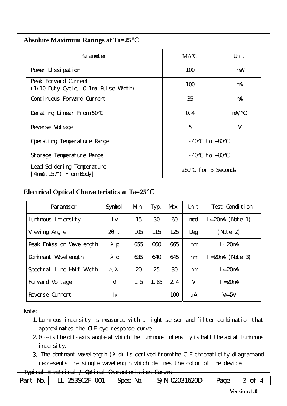| <b>Absolute Maximum Ratings at Ta=25</b> |  |
|------------------------------------------|--|
|                                          |  |

| Parameter                                                    | MAX.                  | Uni t      |  |
|--------------------------------------------------------------|-----------------------|------------|--|
| Pover Dissipation                                            | 100                   | mW         |  |
| Peak Forward Current<br>(1/10 Duty Cycle, 0.1ms Pulse Width) | 100                   | mA         |  |
| Continuous Forward Current                                   | 35                    | mA         |  |
| Derating Linear From 50                                      | Q.4                   | $m\lambda$ |  |
| Reverse Vol tage                                             | 5<br>V                |            |  |
| Operating Temperature Range                                  | to $+80$<br>- 40      |            |  |
| Storage Temperature Range                                    | $-40$ to $+80$        |            |  |
| Lead Sol dering Temperature<br>4nm(. 157") From Body         | for 5 Seconds<br>260. |            |  |

### **Electrical Optical Characteristics at Ta=25**℃

| Parameter                   | Symbol                | Mn. | Typ. | Max. | Uni t | Test Condition      |
|-----------------------------|-----------------------|-----|------|------|-------|---------------------|
| Luminous Intensity          | l v                   | 15  | 30   | 60   | mcd   | $I = 20mA$ (Note 1) |
| Vi ewing Angl e             | $\overline{2}$<br>1/2 | 105 | 115  | 125  | Deg   | (Note 2)            |
| Peak Emission Wavelength    | $\mathbf{p}$          | 655 | 660  | 665  | nm    | $I_F = 20$ mA       |
| Dominant Wavelength         | $\mathbf d$           | 635 | 640  | 645  | nm    | $I = 20mA$ (Note 3) |
| Line Half-Width<br>Spectral |                       | 20  | 25   | 30   | nm    | $I_F = 20$ mA       |
| Forward Voltage             | $V_F$                 | 1.5 | 1.85 | 2.4  | V     | $I_F = 20$ mA       |
| Reverse Current             | $\mathsf{R}$          |     |      | 100  | μA    | $V_R = 5V$          |

#### Note:

- 1.Luminous intensity is measured with a light sensor and filter combination that approximates the CIE eye-response curve.
- $2 1/2$  is the off-axis angle at which the luminous intensity is half the axial luminous i ntensity.
- 3. The dominant wavelength ( d) is derived from the CIE chromaticity diagram and represents the single wavelength which defines the color of the device.

#### Typical Electrical / Optical Characteristics Curves

| Part No. | LL-253SC2F-001 | Spec No. | S/N-02031620D | Page | of |
|----------|----------------|----------|---------------|------|----|